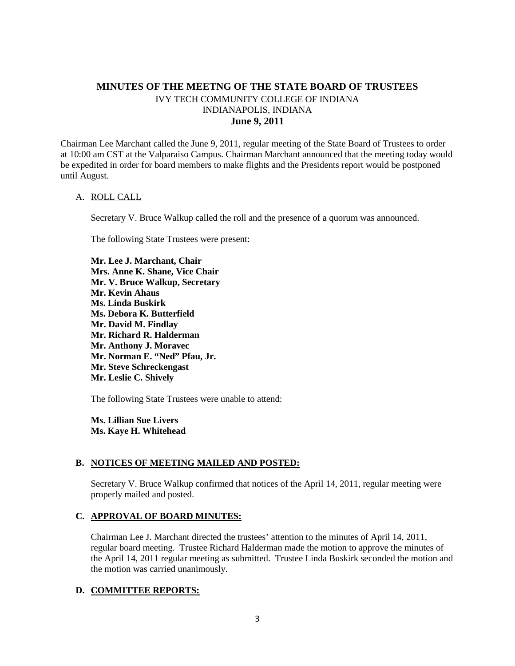# **MINUTES OF THE MEETNG OF THE STATE BOARD OF TRUSTEES** IVY TECH COMMUNITY COLLEGE OF INDIANA INDIANAPOLIS, INDIANA **June 9, 2011**

Chairman Lee Marchant called the June 9, 2011, regular meeting of the State Board of Trustees to order at 10:00 am CST at the Valparaiso Campus. Chairman Marchant announced that the meeting today would be expedited in order for board members to make flights and the Presidents report would be postponed until August.

#### A. ROLL CALL

Secretary V. Bruce Walkup called the roll and the presence of a quorum was announced.

The following State Trustees were present:

**Mr. Lee J. Marchant, Chair Mrs. Anne K. Shane, Vice Chair Mr. V. Bruce Walkup, Secretary Mr. Kevin Ahaus Ms. Linda Buskirk Ms. Debora K. Butterfield Mr. David M. Findlay Mr. Richard R. Halderman Mr. Anthony J. Moravec Mr. Norman E. "Ned" Pfau, Jr. Mr. Steve Schreckengast Mr. Leslie C. Shively**

The following State Trustees were unable to attend:

**Ms. Lillian Sue Livers Ms. Kaye H. Whitehead**

#### **B. NOTICES OF MEETING MAILED AND POSTED:**

Secretary V. Bruce Walkup confirmed that notices of the April 14, 2011, regular meeting were properly mailed and posted.

### **C. APPROVAL OF BOARD MINUTES:**

Chairman Lee J. Marchant directed the trustees' attention to the minutes of April 14, 2011, regular board meeting. Trustee Richard Halderman made the motion to approve the minutes of the April 14, 2011 regular meeting as submitted. Trustee Linda Buskirk seconded the motion and the motion was carried unanimously.

### **D. COMMITTEE REPORTS:**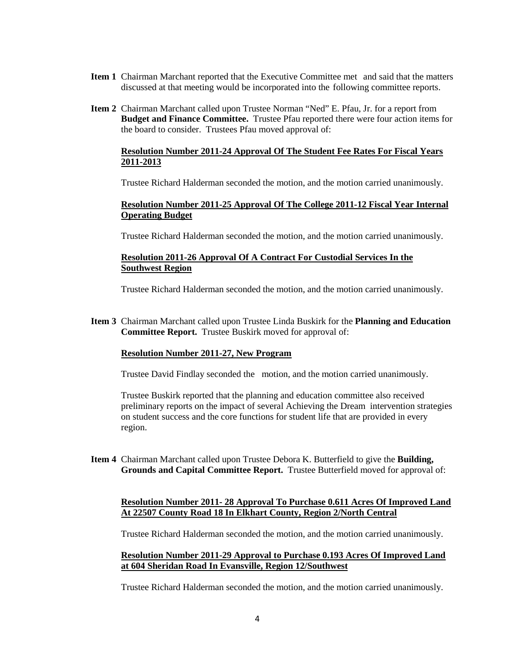- **Item 1** Chairman Marchant reported that the Executive Committee met and said that the matters discussed at that meeting would be incorporated into the following committee reports.
- **Item 2** Chairman Marchant called upon Trustee Norman "Ned" E. Pfau, Jr. for a report from **Budget and Finance Committee.** Trustee Pfau reported there were four action items for the board to consider. Trustees Pfau moved approval of:

### **Resolution Number 2011-24 Approval Of The Student Fee Rates For Fiscal Years 2011-2013**

Trustee Richard Halderman seconded the motion, and the motion carried unanimously.

### **Resolution Number 2011-25 Approval Of The College 2011-12 Fiscal Year Internal Operating Budget**

Trustee Richard Halderman seconded the motion, and the motion carried unanimously.

### **Resolution 2011-26 Approval Of A Contract For Custodial Services In the Southwest Region**

Trustee Richard Halderman seconded the motion, and the motion carried unanimously.

**Item 3** Chairman Marchant called upon Trustee Linda Buskirk for the **Planning and Education Committee Report.** Trustee Buskirk moved for approval of:

#### **Resolution Number 2011-27, New Program**

Trustee David Findlay seconded the motion, and the motion carried unanimously.

Trustee Buskirk reported that the planning and education committee also received preliminary reports on the impact of several Achieving the Dream intervention strategies on student success and the core functions for student life that are provided in every region.

**Item 4** Chairman Marchant called upon Trustee Debora K. Butterfield to give the **Building, Grounds and Capital Committee Report.** Trustee Butterfield moved for approval of:

### **Resolution Number 2011- 28 Approval To Purchase 0.611 Acres Of Improved Land At 22507 County Road 18 In Elkhart County, Region 2/North Central**

Trustee Richard Halderman seconded the motion, and the motion carried unanimously.

### **Resolution Number 2011-29 Approval to Purchase 0.193 Acres Of Improved Land at 604 Sheridan Road In Evansville, Region 12/Southwest**

Trustee Richard Halderman seconded the motion, and the motion carried unanimously.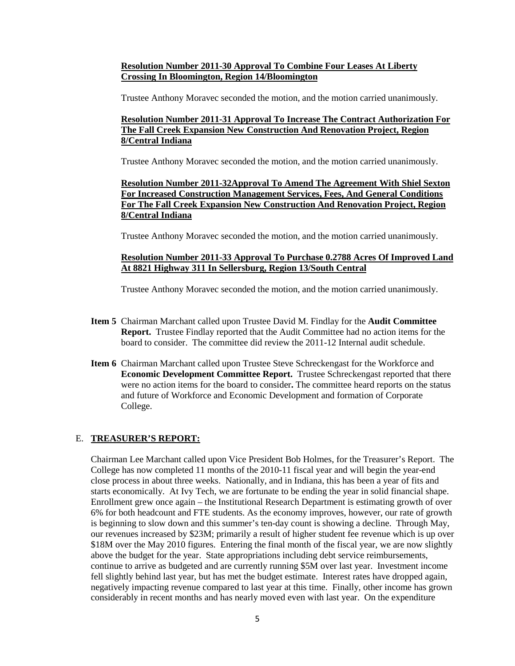### **Resolution Number 2011-30 Approval To Combine Four Leases At Liberty Crossing In Bloomington, Region 14/Bloomington**

Trustee Anthony Moravec seconded the motion, and the motion carried unanimously.

# **Resolution Number 2011-31 Approval To Increase The Contract Authorization For The Fall Creek Expansion New Construction And Renovation Project, Region 8/Central Indiana**

Trustee Anthony Moravec seconded the motion, and the motion carried unanimously.

# **Resolution Number 2011-32Approval To Amend The Agreement With Shiel Sexton For Increased Construction Management Services, Fees, And General Conditions For The Fall Creek Expansion New Construction And Renovation Project, Region 8/Central Indiana**

Trustee Anthony Moravec seconded the motion, and the motion carried unanimously.

# **Resolution Number 2011-33 Approval To Purchase 0.2788 Acres Of Improved Land At 8821 Highway 311 In Sellersburg, Region 13/South Central**

Trustee Anthony Moravec seconded the motion, and the motion carried unanimously.

- **Item 5** Chairman Marchant called upon Trustee David M. Findlay for the **Audit Committee Report.** Trustee Findlay reported that the Audit Committee had no action items for the board to consider. The committee did review the 2011-12 Internal audit schedule.
- **Item 6** Chairman Marchant called upon Trustee Steve Schreckengast for the Workforce and **Economic Development Committee Report.** Trustee Schreckengast reported that there were no action items for the board to consider**.** The committee heard reports on the status and future of Workforce and Economic Development and formation of Corporate College.

### E. **TREASURER'S REPORT:**

Chairman Lee Marchant called upon Vice President Bob Holmes, for the Treasurer's Report. The College has now completed 11 months of the 2010-11 fiscal year and will begin the year-end close process in about three weeks. Nationally, and in Indiana, this has been a year of fits and starts economically. At Ivy Tech, we are fortunate to be ending the year in solid financial shape. Enrollment grew once again – the Institutional Research Department is estimating growth of over 6% for both headcount and FTE students. As the economy improves, however, our rate of growth is beginning to slow down and this summer's ten-day count is showing a decline. Through May, our revenues increased by \$23M; primarily a result of higher student fee revenue which is up over \$18M over the May 2010 figures. Entering the final month of the fiscal year, we are now slightly above the budget for the year. State appropriations including debt service reimbursements, continue to arrive as budgeted and are currently running \$5M over last year. Investment income fell slightly behind last year, but has met the budget estimate. Interest rates have dropped again, negatively impacting revenue compared to last year at this time. Finally, other income has grown considerably in recent months and has nearly moved even with last year. On the expenditure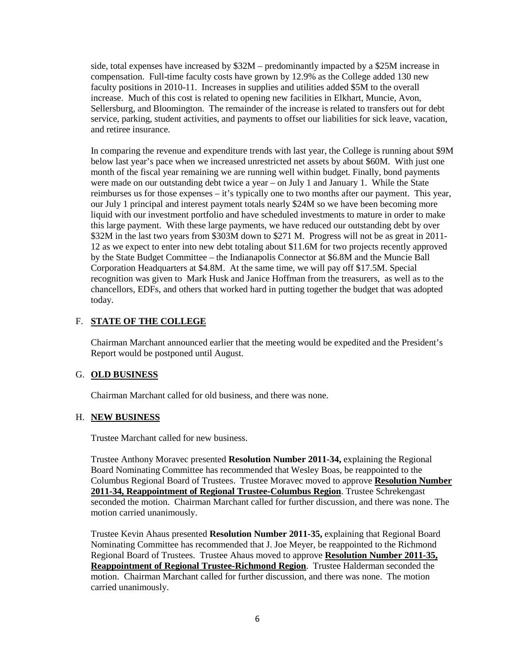side, total expenses have increased by \$32M – predominantly impacted by a \$25M increase in compensation. Full-time faculty costs have grown by 12.9% as the College added 130 new faculty positions in 2010-11. Increases in supplies and utilities added \$5M to the overall increase. Much of this cost is related to opening new facilities in Elkhart, Muncie, Avon, Sellersburg, and Bloomington. The remainder of the increase is related to transfers out for debt service, parking, student activities, and payments to offset our liabilities for sick leave, vacation, and retiree insurance.

In comparing the revenue and expenditure trends with last year, the College is running about \$9M below last year's pace when we increased unrestricted net assets by about \$60M. With just one month of the fiscal year remaining we are running well within budget. Finally, bond payments were made on our outstanding debt twice a year – on July 1 and January 1. While the State reimburses us for those expenses – it's typically one to two months after our payment. This year, our July 1 principal and interest payment totals nearly \$24M so we have been becoming more liquid with our investment portfolio and have scheduled investments to mature in order to make this large payment. With these large payments, we have reduced our outstanding debt by over \$32M in the last two years from \$303M down to \$271 M. Progress will not be as great in 2011- 12 as we expect to enter into new debt totaling about \$11.6M for two projects recently approved by the State Budget Committee – the Indianapolis Connector at \$6.8M and the Muncie Ball Corporation Headquarters at \$4.8M. At the same time, we will pay off \$17.5M. Special recognition was given to Mark Husk and Janice Hoffman from the treasurers, as well as to the chancellors, EDFs, and others that worked hard in putting together the budget that was adopted today.

# F. **STATE OF THE COLLEGE**

Chairman Marchant announced earlier that the meeting would be expedited and the President's Report would be postponed until August.

### G. **OLD BUSINESS**

Chairman Marchant called for old business, and there was none.

### H. **NEW BUSINESS**

Trustee Marchant called for new business.

Trustee Anthony Moravec presented **Resolution Number 2011-34,** explaining the Regional Board Nominating Committee has recommended that Wesley Boas, be reappointed to the Columbus Regional Board of Trustees. Trustee Moravec moved to approve **Resolution Number 2011-34, Reappointment of Regional Trustee-Columbus Region**. Trustee Schrekengast seconded the motion. Chairman Marchant called for further discussion, and there was none. The motion carried unanimously.

Trustee Kevin Ahaus presented **Resolution Number 2011-35,** explaining that Regional Board Nominating Committee has recommended that J. Joe Meyer, be reappointed to the Richmond Regional Board of Trustees. Trustee Ahaus moved to approve **Resolution Number 2011-35, Reappointment of Regional Trustee-Richmond Region**. Trustee Halderman seconded the motion. Chairman Marchant called for further discussion, and there was none. The motion carried unanimously.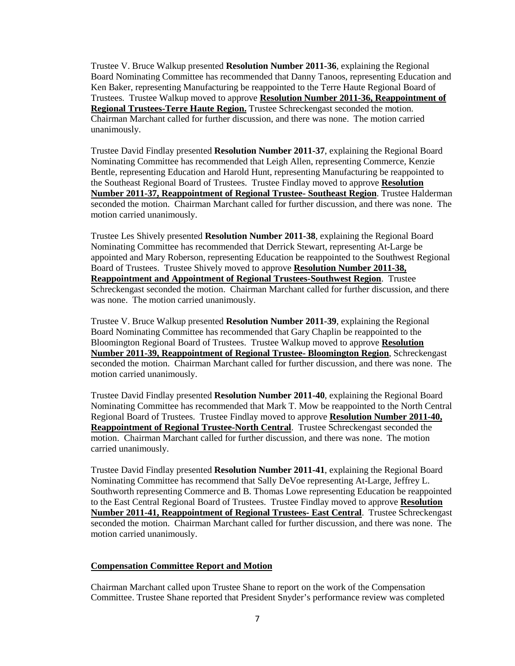Trustee V. Bruce Walkup presented **Resolution Number 2011-36**, explaining the Regional Board Nominating Committee has recommended that Danny Tanoos, representing Education and Ken Baker, representing Manufacturing be reappointed to the Terre Haute Regional Board of Trustees. Trustee Walkup moved to approve **Resolution Number 2011-36, Reappointment of Regional Trustees-Terre Haute Region.** Trustee Schreckengast seconded the motion. Chairman Marchant called for further discussion, and there was none. The motion carried unanimously.

Trustee David Findlay presented **Resolution Number 2011-37**, explaining the Regional Board Nominating Committee has recommended that Leigh Allen, representing Commerce, Kenzie Bentle, representing Education and Harold Hunt, representing Manufacturing be reappointed to the Southeast Regional Board of Trustees. Trustee Findlay moved to approve **Resolution Number 2011-37, Reappointment of Regional Trustee- Southeast Region**. Trustee Halderman seconded the motion. Chairman Marchant called for further discussion, and there was none. The motion carried unanimously.

Trustee Les Shively presented **Resolution Number 2011-38**, explaining the Regional Board Nominating Committee has recommended that Derrick Stewart, representing At-Large be appointed and Mary Roberson, representing Education be reappointed to the Southwest Regional Board of Trustees. Trustee Shively moved to approve **Resolution Number 2011-38, Reappointment and Appointment of Regional Trustees-Southwest Region**. Trustee Schreckengast seconded the motion. Chairman Marchant called for further discussion, and there was none. The motion carried unanimously.

Trustee V. Bruce Walkup presented **Resolution Number 2011-39**, explaining the Regional Board Nominating Committee has recommended that Gary Chaplin be reappointed to the Bloomington Regional Board of Trustees. Trustee Walkup moved to approve **Resolution Number 2011-39, Reappointment of Regional Trustee- Bloomington Region**, Schreckengast seconded the motion. Chairman Marchant called for further discussion, and there was none. The motion carried unanimously.

Trustee David Findlay presented **Resolution Number 2011-40**, explaining the Regional Board Nominating Committee has recommended that Mark T. Mow be reappointed to the North Central Regional Board of Trustees. Trustee Findlay moved to approve **Resolution Number 2011-40, Reappointment of Regional Trustee-North Central**. Trustee Schreckengast seconded the motion. Chairman Marchant called for further discussion, and there was none. The motion carried unanimously.

Trustee David Findlay presented **Resolution Number 2011-41**, explaining the Regional Board Nominating Committee has recommend that Sally DeVoe representing At-Large, Jeffrey L. Southworth representing Commerce and B. Thomas Lowe representing Education be reappointed to the East Central Regional Board of Trustees. Trustee Findlay moved to approve **Resolution Number 2011-41, Reappointment of Regional Trustees- East Central**. Trustee Schreckengast seconded the motion. Chairman Marchant called for further discussion, and there was none. The motion carried unanimously.

#### **Compensation Committee Report and Motion**

Chairman Marchant called upon Trustee Shane to report on the work of the Compensation Committee. Trustee Shane reported that President Snyder's performance review was completed